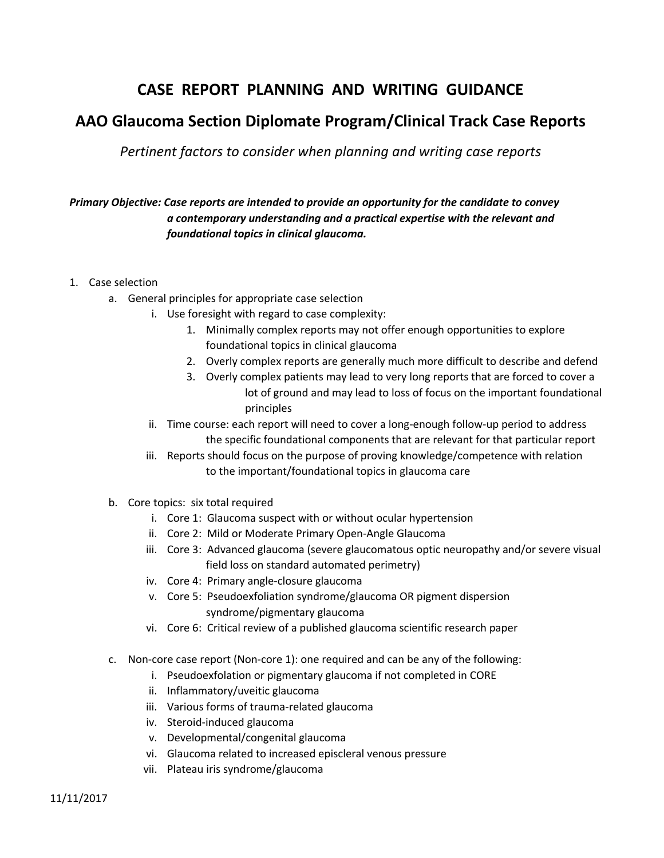## **CASE REPORT PLANNING AND WRITING GUIDANCE**

## **AAO Glaucoma Section Diplomate Program/Clinical Track Case Reports**

*Pertinent factors to consider when planning and writing case reports*

## *Primary Objective: Case reports are intended to provide an opportunity for the candidate to convey a contemporary understanding and a practical expertise with the relevant and foundational topics in clinical glaucoma.*

- 1. Case selection
	- a. General principles for appropriate case selection
		- i. Use foresight with regard to case complexity:
			- 1. Minimally complex reports may not offer enough opportunities to explore foundational topics in clinical glaucoma
			- 2. Overly complex reports are generally much more difficult to describe and defend
			- 3. Overly complex patients may lead to very long reports that are forced to cover a lot of ground and may lead to loss of focus on the important foundational principles
		- ii. Time course: each report will need to cover a long-enough follow-up period to address the specific foundational components that are relevant for that particular report
		- iii. Reports should focus on the purpose of proving knowledge/competence with relation to the important/foundational topics in glaucoma care
	- b. Core topics: six total required
		- i. Core 1: Glaucoma suspect with or without ocular hypertension
		- ii. Core 2: Mild or Moderate Primary Open-Angle Glaucoma
		- iii. Core 3: Advanced glaucoma (severe glaucomatous optic neuropathy and/or severe visual field loss on standard automated perimetry)
		- iv. Core 4: Primary angle-closure glaucoma
		- v. Core 5: Pseudoexfoliation syndrome/glaucoma OR pigment dispersion syndrome/pigmentary glaucoma
		- vi. Core 6: Critical review of a published glaucoma scientific research paper
	- c. Non-core case report (Non-core 1): one required and can be any of the following:
		- i. Pseudoexfolation or pigmentary glaucoma if not completed in CORE
		- ii. Inflammatory/uveitic glaucoma
		- iii. Various forms of trauma-related glaucoma
		- iv. Steroid-induced glaucoma
		- v. Developmental/congenital glaucoma
		- vi. Glaucoma related to increased episcleral venous pressure
		- vii. Plateau iris syndrome/glaucoma